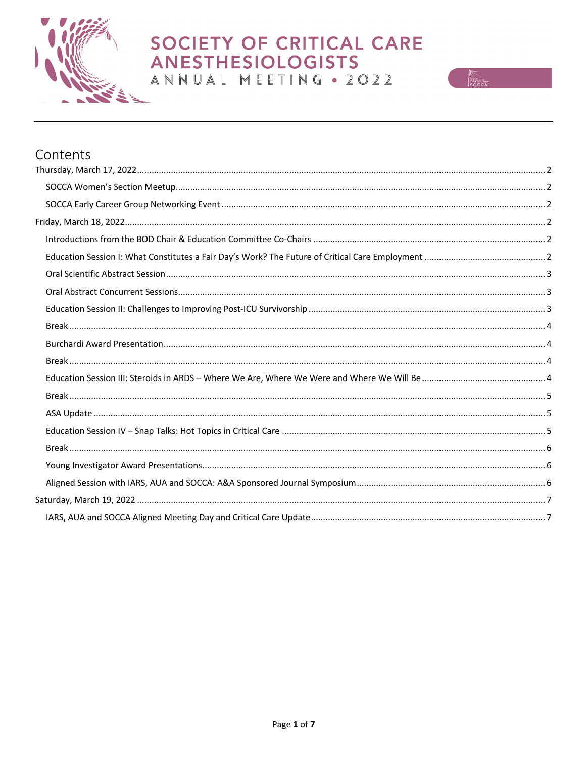



| Contents |  |
|----------|--|
|          |  |
|          |  |
|          |  |
|          |  |
|          |  |
|          |  |
|          |  |
|          |  |
|          |  |
|          |  |
|          |  |
|          |  |
|          |  |
|          |  |
|          |  |
|          |  |
|          |  |
|          |  |
|          |  |
|          |  |
|          |  |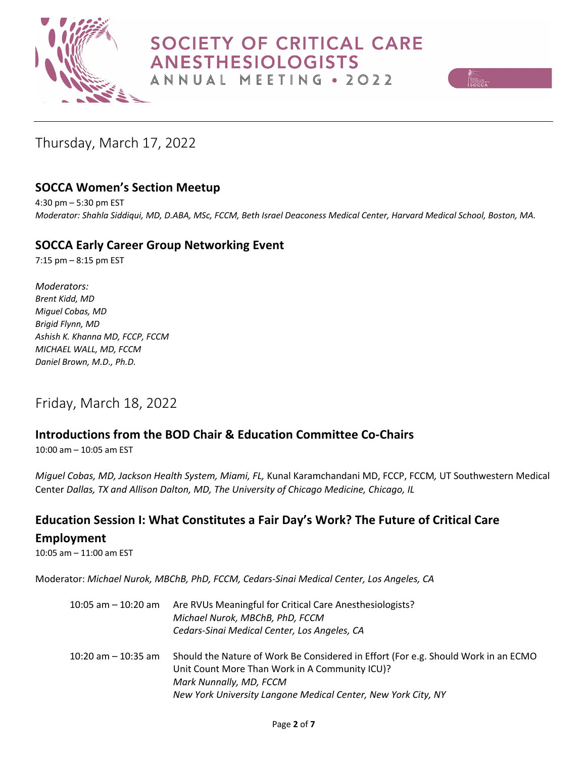



# Thursday, March 17, 2022

# **SOCCA Women's Section Meetup**

4:30 pm – 5:30 pm EST *Moderator: Shahla Siddiqui, MD, D.ABA, MSc, FCCM, Beth Israel Deaconess Medical Center, Harvard Medical School, Boston, MA.*

## **SOCCA Early Career Group Networking Event**

7:15 pm – 8:15 pm EST

*Moderators: Brent Kidd, MD Miguel Cobas, MD Brigid Flynn, MD Ashish K. Khanna MD, FCCP, FCCM MICHAEL WALL, MD, FCCM Daniel Brown, M.D., Ph.D.* 

# Friday, March 18, 2022

# **Introductions from the BOD Chair & Education Committee Co-Chairs**

10:00 am – 10:05 am EST

*Miguel Cobas, MD, Jackson Health System, Miami, FL,* Kunal Karamchandani MD, FCCP, FCCM*,* UT Southwestern Medical Center *Dallas, TX and Allison Dalton, MD, The University of Chicago Medicine, Chicago, IL*

## **Education Session I: What Constitutes a Fair Day's Work? The Future of Critical Care**

#### **Employment**

10:05 am – 11:00 am EST

Moderator: *Michael Nurok, MBChB, PhD, FCCM, Cedars-Sinai Medical Center, Los Angeles, CA*

| 10:05 am $-$ 10:20 am | Are RVUs Meaningful for Critical Care Anesthesiologists?<br>Michael Nurok, MBChB, PhD, FCCM<br>Cedars-Sinai Medical Center, Los Angeles, CA                                                                                      |
|-----------------------|----------------------------------------------------------------------------------------------------------------------------------------------------------------------------------------------------------------------------------|
| 10:20 am $-$ 10:35 am | Should the Nature of Work Be Considered in Effort (For e.g. Should Work in an ECMO<br>Unit Count More Than Work in A Community ICU)?<br>Mark Nunnally, MD, FCCM<br>New York University Langone Medical Center, New York City, NY |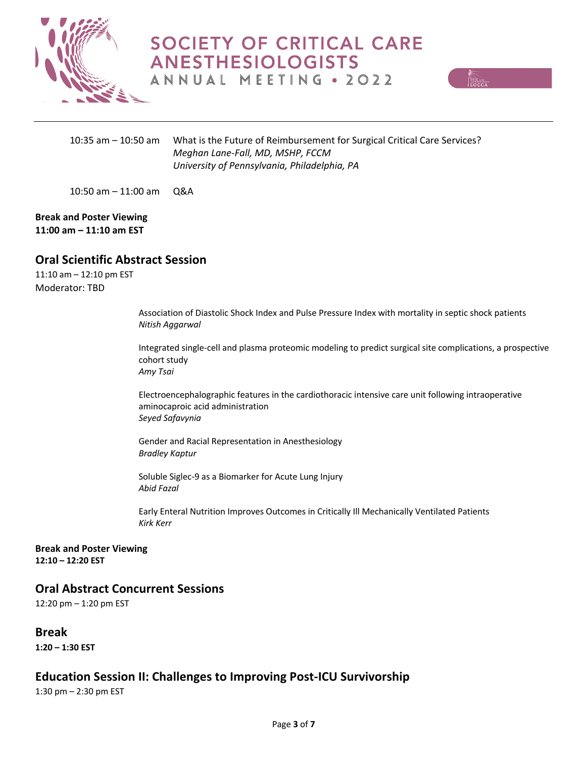



10:35 am – 10:50 am What is the Future of Reimbursement for Surgical Critical Care Services? *Meghan Lane-Fall, MD, MSHP, FCCM University of Pennsylvania, Philadelphia, PA*

10:50 am – 11:00 am Q&A

**Break and Poster Viewing 11:00 am – 11:10 am EST**

#### **Oral Scientific Abstract Session**

11:10 am – 12:10 pm EST Moderator: TBD

> Association of Diastolic Shock Index and Pulse Pressure Index with mortality in septic shock patients *Nitish Aggarwal*

Integrated single-cell and plasma proteomic modeling to predict surgical site complications, a prospective cohort study *Amy Tsai*

Electroencephalographic features in the cardiothoracic intensive care unit following intraoperative aminocaproic acid administration *Seyed Safavynia*

Gender and Racial Representation in Anesthesiology *Bradley Kaptur*

Soluble Siglec-9 as a Biomarker for Acute Lung Injury *Abid Fazal*

Early Enteral Nutrition Improves Outcomes in Critically Ill Mechanically Ventilated Patients *Kirk Kerr*

**Break and Poster Viewing 12:10 – 12:20 EST**

#### **Oral Abstract Concurrent Sessions**

12:20 pm – 1:20 pm EST

**Break**

**1:20 – 1:30 EST**

#### **Education Session II: Challenges to Improving Post-ICU Survivorship**

1:30 pm – 2:30 pm EST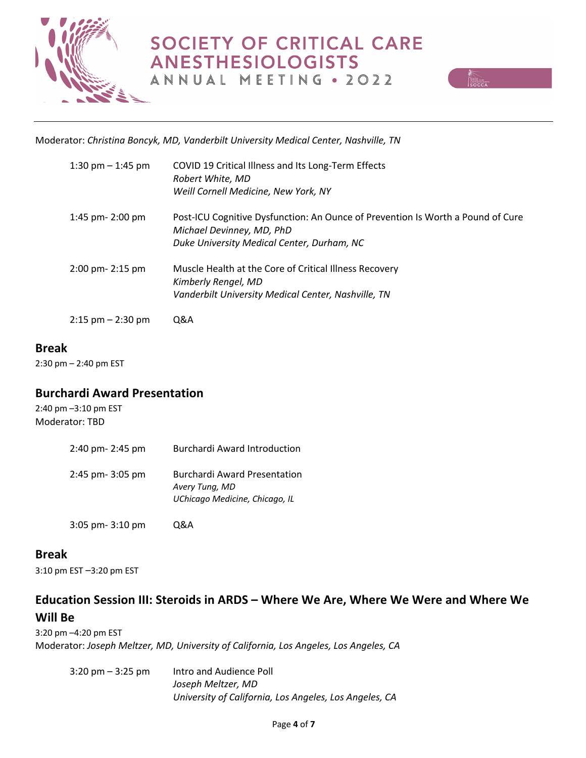



Moderator: *Christina Boncyk, MD, Vanderbilt University Medical Center, Nashville, TN*

| 1:30 pm $-$ 1:45 pm   | COVID 19 Critical Illness and Its Long-Term Effects<br>Robert White, MD<br>Weill Cornell Medicine, New York, NY                                            |
|-----------------------|------------------------------------------------------------------------------------------------------------------------------------------------------------|
| 1:45 pm- 2:00 pm      | Post-ICU Cognitive Dysfunction: An Ounce of Prevention Is Worth a Pound of Cure<br>Michael Devinney, MD, PhD<br>Duke University Medical Center, Durham, NC |
| 2:00 pm- 2:15 pm      | Muscle Health at the Core of Critical Illness Recovery<br>Kimberly Rengel, MD<br>Vanderbilt University Medical Center, Nashville, TN                       |
| $2:15$ pm $- 2:30$ pm | Q&A                                                                                                                                                        |

#### **Break**

2:30 pm – 2:40 pm EST

#### **Burchardi Award Presentation**

3:05 pm- 3:10 pm Q&A

2:40 pm –3:10 pm EST Moderator: TBD

| 2:40 pm- 2:45 pm | <b>Burchardi Award Introduction</b>                                                     |
|------------------|-----------------------------------------------------------------------------------------|
| 2:45 pm- 3:05 pm | <b>Burchardi Award Presentation</b><br>Avery Tung, MD<br>UChicago Medicine, Chicago, IL |

## **Break**

3:10 pm EST –3:20 pm EST

# **Education Session III: Steroids in ARDS – Where We Are, Where We Were and Where We Will Be**

3:20 pm –4:20 pm EST Moderator: *Joseph Meltzer, MD, University of California, Los Angeles, Los Angeles, CA*

3:20 pm – 3:25 pm Intro and Audience Poll *Joseph Meltzer, MD University of California, Los Angeles, Los Angeles, CA*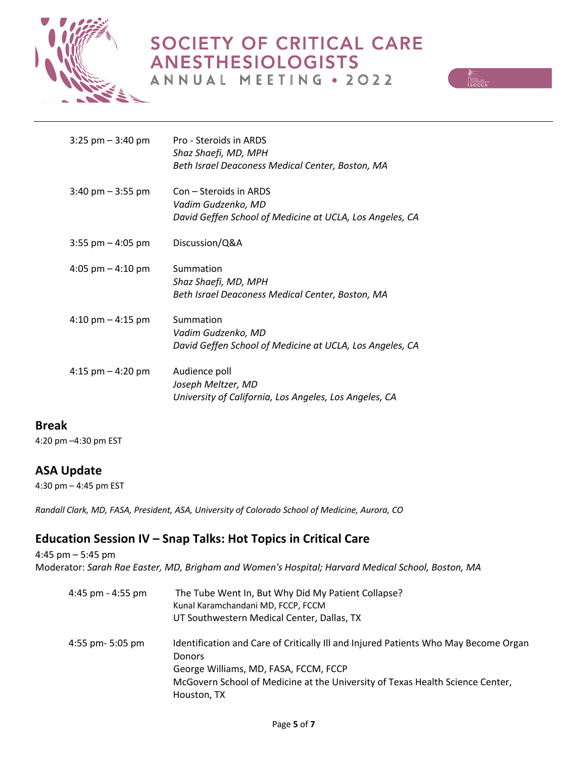

# SOCIETY OF CRITICAL CARE **ANESTHESIOLOGISTS**





| $3:25$ pm $-3:40$ pm                | Pro - Steroids in ARDS<br>Shaz Shaefi, MD, MPH           |
|-------------------------------------|----------------------------------------------------------|
|                                     | Beth Israel Deaconess Medical Center, Boston, MA         |
| $3:40$ pm $-3:55$ pm                | Con – Steroids in ARDS                                   |
|                                     | Vadim Gudzenko, MD                                       |
|                                     | David Geffen School of Medicine at UCLA, Los Angeles, CA |
| $3:55$ pm $-4:05$ pm                | Discussion/Q&A                                           |
| 4:05 pm $-$ 4:10 pm                 | Summation                                                |
|                                     | Shaz Shaefi, MD, MPH                                     |
|                                     | Beth Israel Deaconess Medical Center, Boston, MA         |
| $4:10 \text{ pm} - 4:15 \text{ pm}$ | Summation                                                |
|                                     | Vadim Gudzenko, MD                                       |
|                                     | David Geffen School of Medicine at UCLA, Los Angeles, CA |
| 4:15 $pm - 4:20$ pm                 | Audience poll                                            |
|                                     | Joseph Meltzer, MD                                       |
|                                     | University of California, Los Angeles, Los Angeles, CA   |

#### **Break**

4:20 pm –4:30 pm EST

## **ASA Update**

4:30 pm – 4:45 pm EST

*Randall Clark, MD, FASA, President, ASA, University of Colorado School of Medicine, Aurora, CO*

# **Education Session IV – Snap Talks: Hot Topics in Critical Care**

4:45 pm – 5:45 pm Moderator: *Sarah Rae Easter, MD, Brigham and Women's Hospital; Harvard Medical School, Boston, MA*

 4:45 pm - 4:55 pm The Tube Went In, But Why Did My Patient Collapse? Kunal Karamchandani MD, FCCP, FCCM UT Southwestern Medical Center, Dallas, TX 4:55 pm- 5:05 pm Identification and Care of Critically III and Injured Patients Who May Become Organ Donors George Williams, MD, FASA, FCCM, FCCP McGovern School of Medicine at the University of Texas Health Science Center, Houston, TX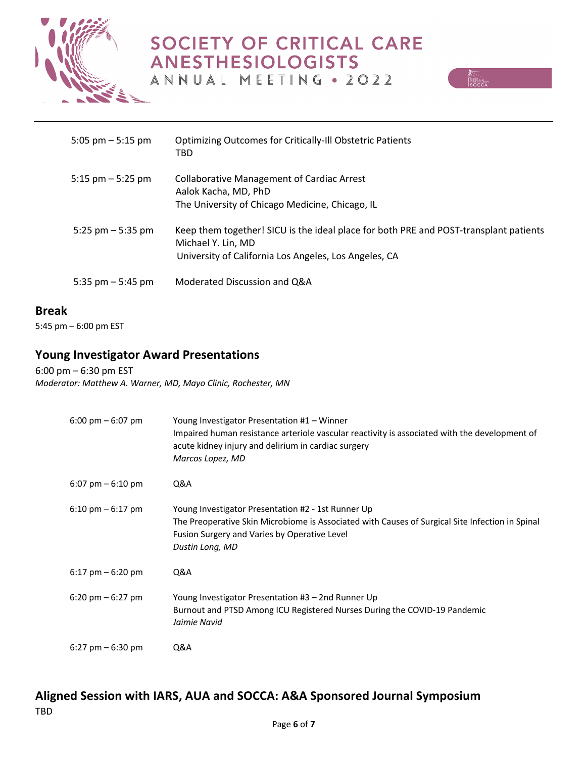



| 5:05 pm $-$ 5:15 pm | <b>Optimizing Outcomes for Critically-III Obstetric Patients</b><br>TBD                                                                                              |
|---------------------|----------------------------------------------------------------------------------------------------------------------------------------------------------------------|
| 5:15 $pm - 5:25$ pm | <b>Collaborative Management of Cardiac Arrest</b><br>Aalok Kacha, MD, PhD<br>The University of Chicago Medicine, Chicago, IL                                         |
| 5:25 pm $-$ 5:35 pm | Keep them together! SICU is the ideal place for both PRE and POST-transplant patients<br>Michael Y. Lin, MD<br>University of California Los Angeles, Los Angeles, CA |
| 5:35 pm $-$ 5:45 pm | Moderated Discussion and Q&A                                                                                                                                         |

#### **Break**

5:45 pm – 6:00 pm EST

# **Young Investigator Award Presentations**

6:00 pm – 6:30 pm EST *Moderator: Matthew A. Warner, MD, Mayo Clinic, Rochester, MN*

| $6:00 \text{ pm} - 6:07 \text{ pm}$ | Young Investigator Presentation #1 – Winner<br>Impaired human resistance arteriole vascular reactivity is associated with the development of<br>acute kidney injury and delirium in cardiac surgery<br>Marcos Lopez, MD  |
|-------------------------------------|--------------------------------------------------------------------------------------------------------------------------------------------------------------------------------------------------------------------------|
| $6:07$ pm $-6:10$ pm                | Q&A                                                                                                                                                                                                                      |
| $6:10 \text{ pm} - 6:17 \text{ pm}$ | Young Investigator Presentation #2 - 1st Runner Up<br>The Preoperative Skin Microbiome is Associated with Causes of Surgical Site Infection in Spinal<br>Fusion Surgery and Varies by Operative Level<br>Dustin Long, MD |
| $6:17$ pm $-6:20$ pm                | Q&A                                                                                                                                                                                                                      |
| $6:20 \text{ pm} - 6:27 \text{ pm}$ | Young Investigator Presentation #3 – 2nd Runner Up<br>Burnout and PTSD Among ICU Registered Nurses During the COVID-19 Pandemic<br>Jaimie Navid                                                                          |
| $6:27$ pm $-6:30$ pm                | Q&A                                                                                                                                                                                                                      |

## **Aligned Session with IARS, AUA and SOCCA: A&A Sponsored Journal Symposium**  TBD